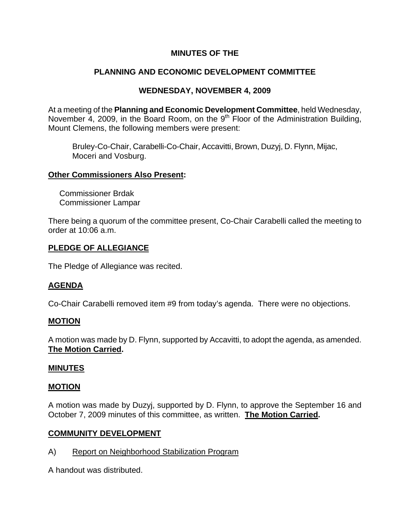# **MINUTES OF THE**

# **PLANNING AND ECONOMIC DEVELOPMENT COMMITTEE**

# **WEDNESDAY, NOVEMBER 4, 2009**

At a meeting of the **Planning and Economic Development Committee**, held Wednesday, November 4, 2009, in the Board Room, on the  $9<sup>th</sup>$  Floor of the Administration Building, Mount Clemens, the following members were present:

Bruley-Co-Chair, Carabelli-Co-Chair, Accavitti, Brown, Duzyj, D. Flynn, Mijac, Moceri and Vosburg.

## **Other Commissioners Also Present:**

 Commissioner Brdak Commissioner Lampar

There being a quorum of the committee present, Co-Chair Carabelli called the meeting to order at 10:06 a.m.

# **PLEDGE OF ALLEGIANCE**

The Pledge of Allegiance was recited.

# **AGENDA**

Co-Chair Carabelli removed item #9 from today's agenda. There were no objections.

# **MOTION**

A motion was made by D. Flynn, supported by Accavitti, to adopt the agenda, as amended. **The Motion Carried.** 

#### **MINUTES**

#### **MOTION**

A motion was made by Duzyj, supported by D. Flynn, to approve the September 16 and October 7, 2009 minutes of this committee, as written. **The Motion Carried.** 

# **COMMUNITY DEVELOPMENT**

A) Report on Neighborhood Stabilization Program

A handout was distributed.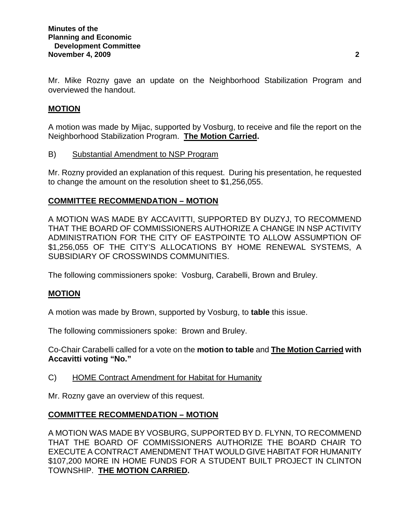Mr. Mike Rozny gave an update on the Neighborhood Stabilization Program and overviewed the handout.

# **MOTION**

A motion was made by Mijac, supported by Vosburg, to receive and file the report on the Neighborhood Stabilization Program. **The Motion Carried.** 

B) Substantial Amendment to NSP Program

Mr. Rozny provided an explanation of this request. During his presentation, he requested to change the amount on the resolution sheet to \$1,256,055.

## **COMMITTEE RECOMMENDATION – MOTION**

A MOTION WAS MADE BY ACCAVITTI, SUPPORTED BY DUZYJ, TO RECOMMEND THAT THE BOARD OF COMMISSIONERS AUTHORIZE A CHANGE IN NSP ACTIVITY ADMINISTRATION FOR THE CITY OF EASTPOINTE TO ALLOW ASSUMPTION OF \$1,256,055 OF THE CITY'S ALLOCATIONS BY HOME RENEWAL SYSTEMS, A SUBSIDIARY OF CROSSWINDS COMMUNITIES.

The following commissioners spoke: Vosburg, Carabelli, Brown and Bruley.

# **MOTION**

A motion was made by Brown, supported by Vosburg, to **table** this issue.

The following commissioners spoke: Brown and Bruley.

Co-Chair Carabelli called for a vote on the **motion to table** and **The Motion Carried with Accavitti voting "No."** 

C) HOME Contract Amendment for Habitat for Humanity

Mr. Rozny gave an overview of this request.

# **COMMITTEE RECOMMENDATION – MOTION**

A MOTION WAS MADE BY VOSBURG, SUPPORTED BY D. FLYNN, TO RECOMMEND THAT THE BOARD OF COMMISSIONERS AUTHORIZE THE BOARD CHAIR TO EXECUTE A CONTRACT AMENDMENT THAT WOULD GIVE HABITAT FOR HUMANITY \$107,200 MORE IN HOME FUNDS FOR A STUDENT BUILT PROJECT IN CLINTON TOWNSHIP. **THE MOTION CARRIED.**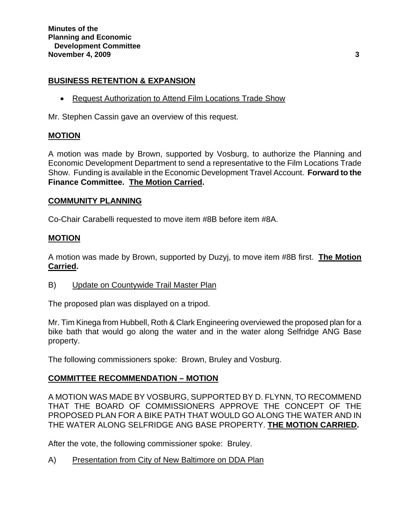## **BUSINESS RETENTION & EXPANSION**

• Request Authorization to Attend Film Locations Trade Show

Mr. Stephen Cassin gave an overview of this request.

# **MOTION**

A motion was made by Brown, supported by Vosburg, to authorize the Planning and Economic Development Department to send a representative to the Film Locations Trade Show. Funding is available in the Economic Development Travel Account. **Forward to the Finance Committee. The Motion Carried.** 

#### **COMMUNITY PLANNING**

Co-Chair Carabelli requested to move item #8B before item #8A.

#### **MOTION**

A motion was made by Brown, supported by Duzyj, to move item #8B first. **The Motion Carried.** 

B) Update on Countywide Trail Master Plan

The proposed plan was displayed on a tripod.

Mr. Tim Kinega from Hubbell, Roth & Clark Engineering overviewed the proposed plan for a bike bath that would go along the water and in the water along Selfridge ANG Base property.

The following commissioners spoke: Brown, Bruley and Vosburg.

# **COMMITTEE RECOMMENDATION – MOTION**

A MOTION WAS MADE BY VOSBURG, SUPPORTED BY D. FLYNN, TO RECOMMEND THAT THE BOARD OF COMMISSIONERS APPROVE THE CONCEPT OF THE PROPOSED PLAN FOR A BIKE PATH THAT WOULD GO ALONG THE WATER AND IN THE WATER ALONG SELFRIDGE ANG BASE PROPERTY. **THE MOTION CARRIED.** 

After the vote, the following commissioner spoke: Bruley.

A) Presentation from City of New Baltimore on DDA Plan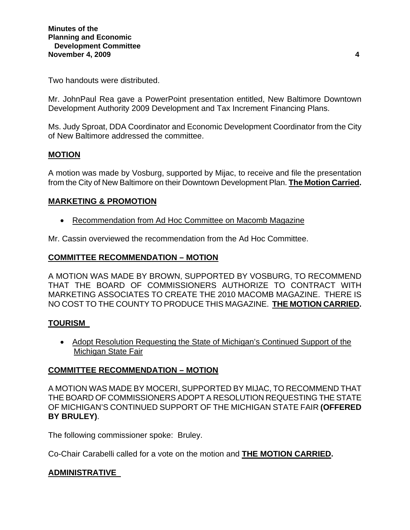Two handouts were distributed.

Mr. JohnPaul Rea gave a PowerPoint presentation entitled, New Baltimore Downtown Development Authority 2009 Development and Tax Increment Financing Plans.

Ms. Judy Sproat, DDA Coordinator and Economic Development Coordinator from the City of New Baltimore addressed the committee.

# **MOTION**

A motion was made by Vosburg, supported by Mijac, to receive and file the presentation from the City of New Baltimore on their Downtown Development Plan. **The Motion Carried.** 

## **MARKETING & PROMOTION**

• Recommendation from Ad Hoc Committee on Macomb Magazine

Mr. Cassin overviewed the recommendation from the Ad Hoc Committee.

## **COMMITTEE RECOMMENDATION – MOTION**

A MOTION WAS MADE BY BROWN, SUPPORTED BY VOSBURG, TO RECOMMEND THAT THE BOARD OF COMMISSIONERS AUTHORIZE TO CONTRACT WITH MARKETING ASSOCIATES TO CREATE THE 2010 MACOMB MAGAZINE. THERE IS NO COST TO THE COUNTY TO PRODUCE THIS MAGAZINE. **THE MOTION CARRIED.** 

# **TOURISM**

• Adopt Resolution Requesting the State of Michigan's Continued Support of the Michigan State Fair

# **COMMITTEE RECOMMENDATION – MOTION**

A MOTION WAS MADE BY MOCERI, SUPPORTED BY MIJAC, TO RECOMMEND THAT THE BOARD OF COMMISSIONERS ADOPT A RESOLUTION REQUESTING THE STATE OF MICHIGAN'S CONTINUED SUPPORT OF THE MICHIGAN STATE FAIR **(OFFERED BY BRULEY)**.

The following commissioner spoke: Bruley.

Co-Chair Carabelli called for a vote on the motion and **THE MOTION CARRIED.** 

#### **ADMINISTRATIVE**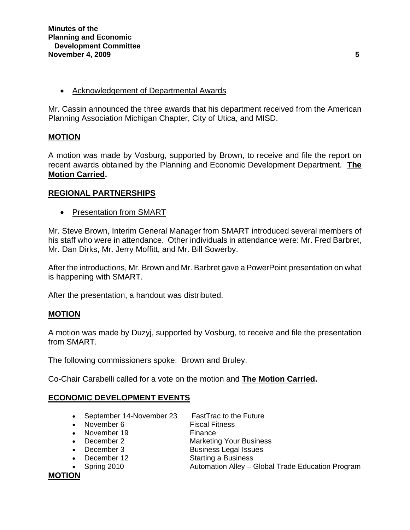• Acknowledgement of Departmental Awards

Mr. Cassin announced the three awards that his department received from the American Planning Association Michigan Chapter, City of Utica, and MISD.

# **MOTION**

A motion was made by Vosburg, supported by Brown, to receive and file the report on recent awards obtained by the Planning and Economic Development Department. **The Motion Carried.** 

## **REGIONAL PARTNERSHIPS**

• Presentation from SMART

Mr. Steve Brown, Interim General Manager from SMART introduced several members of his staff who were in attendance. Other individuals in attendance were: Mr. Fred Barbret, Mr. Dan Dirks, Mr. Jerry Moffitt, and Mr. Bill Sowerby.

After the introductions, Mr. Brown and Mr. Barbret gave a PowerPoint presentation on what is happening with SMART.

After the presentation, a handout was distributed.

# **MOTION**

A motion was made by Duzyj, supported by Vosburg, to receive and file the presentation from SMART.

The following commissioners spoke: Brown and Bruley.

Co-Chair Carabelli called for a vote on the motion and **The Motion Carried.** 

# **ECONOMIC DEVELOPMENT EVENTS**

- September 14-November 23 FastTrac to the Future
- 
- November 19 Finance
- 
- December 3 Business Legal Issues
- December 12 Starting a Business
- 
- November 6 Fiscal Fitness
	-
- December 2 Marketing Your Business
	-
	-
- Spring 2010 Automation Alley Global Trade Education Program

**MOTION**